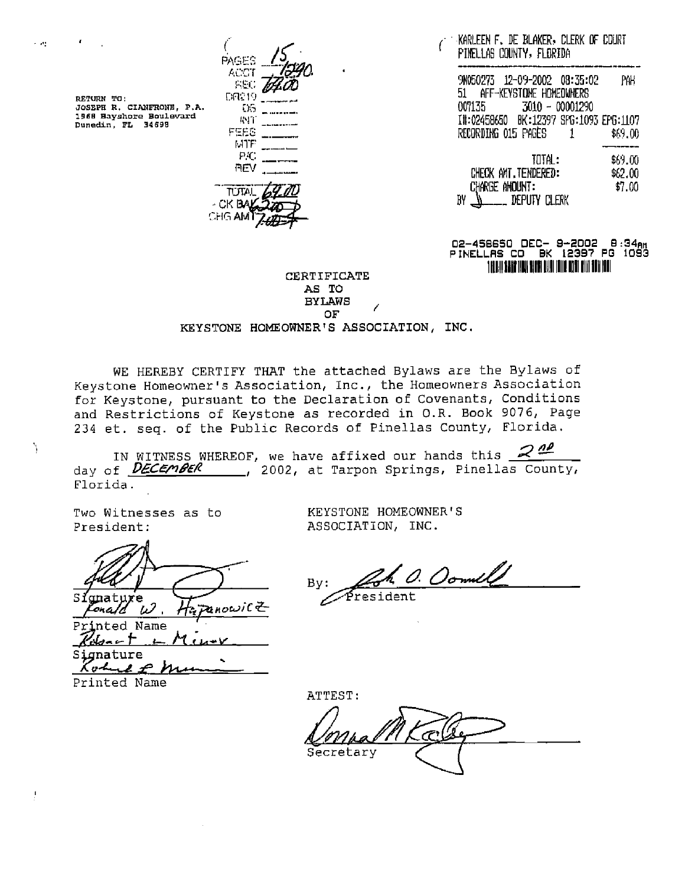PAGES ACCT **REC** 

1968 Bayshore Boulevard

 $\sim 100$ 

Ŋ

Ţ.

**REV TUTAL** - CK BAJ CHG AMT

MTF P.C ( PINELLAS COUNTY, FLORIDA KARLEEN F. DE BLAKER: CLERK OF COURT

NOEO27S = 12-09-2002 08:35:02 BL AFF-KEYSTONE HOMEOWNERS PAH. O07L35 S010 - 00001290 RETURN TO: JOSEPH R, CIANFRONE, P.A,. TH202456650 BK:12597 SPO:1095 EPG: 1107 Dunedin, FL 34698 RECORDING O15 PAGES = 1 \$69.00

> \$69.00 TOTAL: CHECK AMT. TENDERED: CHARGE ANOUNT : \$62,00  $$7.00$  $BV \Delta$  DEPUTY CLERK

### O2-456650 DEC- 9-2002 8:34ay PINELLAS CO BK 12397 PG 1093 YAR) SERTIFICATE

#### AS TO **BYLAWS OF** KEYSTONE HOMEOWNER'S ASSOCIATION, INC.

WE HEREBY CERTIFY THAT the attached Bylaws are the Bylaws of Keystone Homeowner's Association, Inc., the Homeowners Association for Keystone, pursuant to the Declaration of Covenants, Conditions and Restrictions of Keystone as recorded in 0.R. Book 9076, Page 234 et. seq. of the Public Records of Pinellas County, Florida.

IN WITNESS WHEREOF, we have affixed our hands this day of **DECEMBER** , 2002, at Tarpon Springs, Pinellas County, Florida.

President: ASSOCIATION, INC.

for Keystone,<br>and Restrict.<br>234 et. seq.<br>IN MITNI<br>day of *DECE*<br>Florida.<br>Two Witnesses<br>President:  $\frac{p}{q}$  By:  $\frac{p}{q}$  By:  $\frac{p}{q}$  is tanabure zanowic Z Oh A

ted Name  $\mathbb{Z}_{\text{short}}$  M  $\mu$ Signature macure<br>ohne P Mus

Printed Name

Two Witnesses as to KEYSTONE HOMEOWNER'S

1. Oomill

ATTEST:<br>LonpalMKC Secretary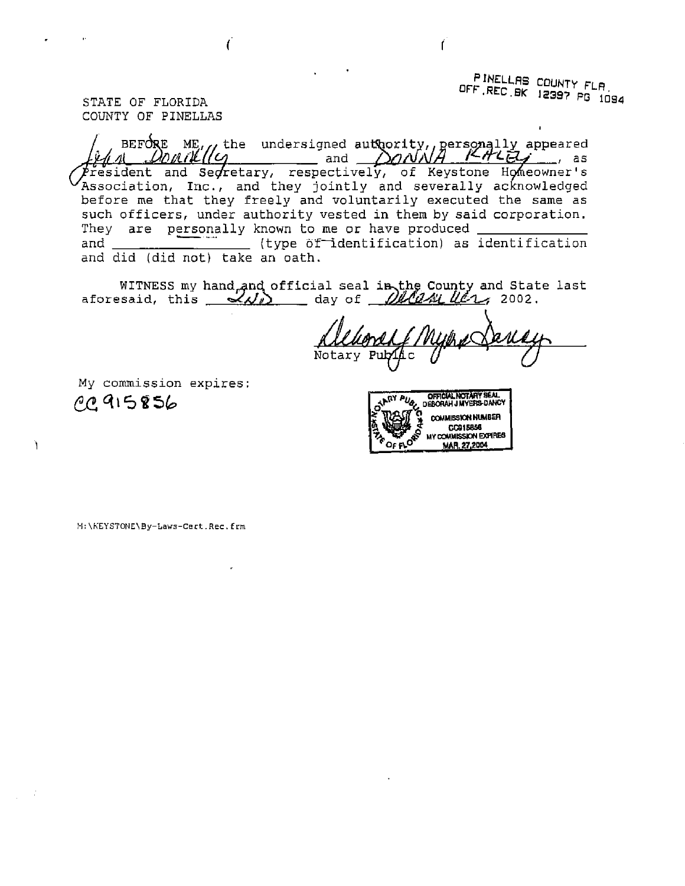PINELLAS COUNTY FLA OF FLORIDA 12397 PG 1084

COUNTY OF PINELLAS

THE OF FLORIDA<br>
STATE OF FLORIDA<br>
COUNTY OF PINELLAS<br>
ALLER ME, the undersigned authority, personally appeared<br>  $\frac{\hat{\mu}_d A \quad \text{DM}}{\text{L}}$  and secretary, respectively, of Keystone Homeowner's and authority, personally appeared<br>and *AAAAA KALEG* The Controllecture of Keystone Homeowner's Association, Inc., and they jointly and severally acknowledged before me that they freely and voluntarily executed the same as such officers, under authority vested in them by said corporation. They are personally known to me or have produced and \_\_\_\_\_\_\_\_\_\_\_\_\_\_ (type of identification) as identification and did (did not) take an oath. l

WITNESS my hand and official seal in the County and State last<br>aforesaid, this  $\mathcal{A}_{\mathcal{N}}$  day of  $\mathcal{A}_{\mathcal{N}}$  (167, 2002.

Notary Pub

My commission expires: COAASPSE OFFICIAL NOTARY SEAL a PUg, yERORAH J MYERS-DANCY

ì

COMMISSICN NUMBER GENERAL GENERAL MEDICINES

M: \REYSTONE\ By-Laws-Cert.Rec. frm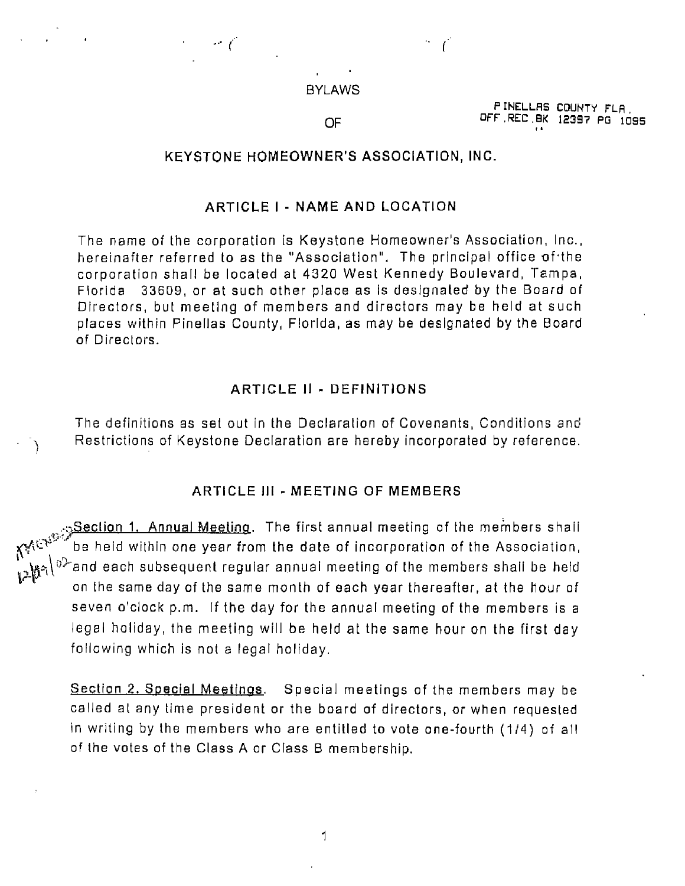

 $-$  (

PINELLAS COUNTY FLA.<br>OF OFF REC BK 12397 PG 1095

## KEYSTONE HOMEOWNER'S ASSOCIATION, INC.

# ARTICLE | - NAME AND LOCATION

The name of the corporation is Keystone Homeowner's Association, Inc., hereinafter referred to as the "Association". The principal office of the corporation shall be located at 4320 West Kennedy Boulevard, Tampa, Fiorlda 33609, or at such other place as is designated by the Board of Directors, but meeting of members and directors may be held at such places within Pinellas County, Florida, as may be designated by the Board of Directors.

### ARTICLE II - DEFINITIONS

The definitions as set out in the Declaration of Covenants, Conditions and Restrictions of Keystone Declaration are hereby incorporated by reference.

#### ARTICLE Ill - MEETING OF MEMBERS

**Section 1. Annual Meeting.** The first annual meeting of the members shall  $\mathcal{E}^{\mathcal{C}^{\mathcal{C}^{\mathcal{C}}}}$  be held within one year from the date of incorporation of the Association,  $\Gamma_{\bullet}^{\bullet}$ <sub>k $\gamma$ </sub>) $^{\circ>}$ and each subsequent regular annual meeting of the members shall be held on the same day of the same month of each year thereafter, at the hour of seven o'ciock p.m. If the day for the annual meeting of the members is a legal holiday, the meeting will be held at the same hour on the first day follawing which is not a legal holiday.

Section 2. Special Meetings. Special meetings of the members may be called al any time president or the board of directors, or when requested in writing by the members who are entitled to vote one-fourth (1/4) of all of the votes of the Class A or Class B membership.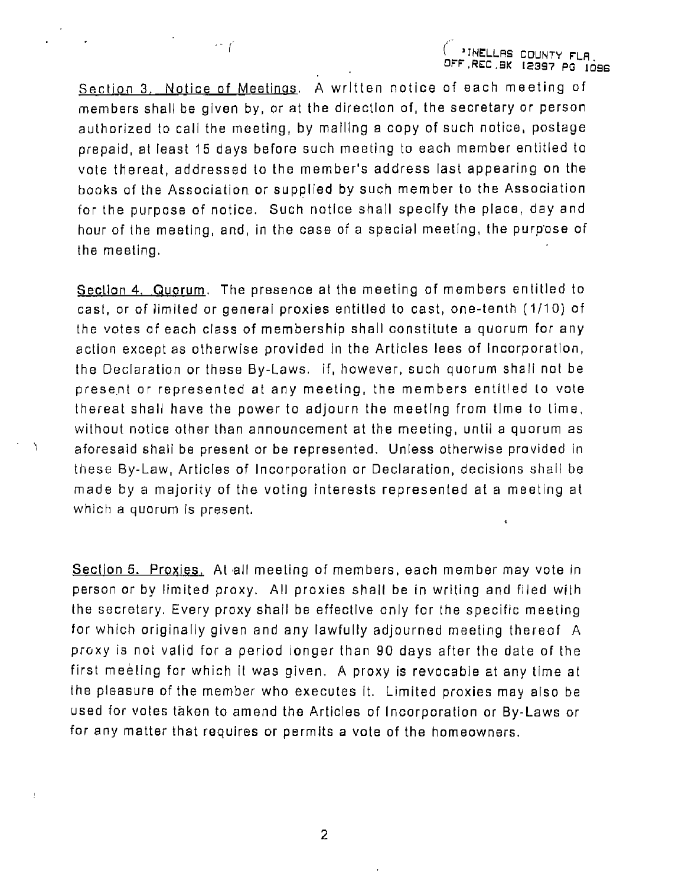<sup>|</sup>( 2INELLAS COUNTY FLA. OFF .REC.BK 12397 PG i696

Section 3. Notice of Meetings. A written notice of each meeting of members shall be given by, or at the direction of, the secretary or person authorized to call the meeting, by mailing a copy of such notice, postage prepaid, at least 15 days before such meeting to each member entitled to vote thereat, addressed ta the member's address last appearing on the books of the Association or supplied by such member to the Association for the purpose of notice. Such notice shall specify the place, day and hour of the meeting, and, in the case of a special meeting, the purpose of the meeting.

Section 4. Quorum. The presence at the meeting of members entitled to cast, or of limited or general proxies entitled to cast, one-tenth (1/10) of the votes af each class of membership shall constitute a quorum for any action except as otherwise provided tn the Articles lees of Incorporation, the Declaration or these By-Laws. If, however, such quorum shall nat be present or represented at any meeting, the members entitled to vote thereat shall have the power to adjourn the meeting from time to lime, wilhout notice other than announcement at the meeting, until a quorum as aforesaid shall be present or be represented. Unless otherwise provided in these By-Law, Articles of Incorporation or Declaration, decisions shall be made by a majority of the voting interests represented at a meeting at which a quorum is present.  $\epsilon$ 

 $\Delta$ 

 $\mathbf{I}$ 

Section 5. Proxies. At all meeting of members, each member may vote in person or by limited proxy. All proxies shall be in writing and filed with the secretary. Every proxy shall be effective only for the specific meeting for which originally given and any lawfully adjourned meeting thereaf A proxy is not valid for a period tonger than 90 days after the date of the first meeting for which it was given. A proxy is revocable at any time at the pleasure of the member who executes it. Limited proxies may also be used for votes taken to amend the Articles of Incorporation or By-Laws or for any matter that requires or permits a vote of the homeowners.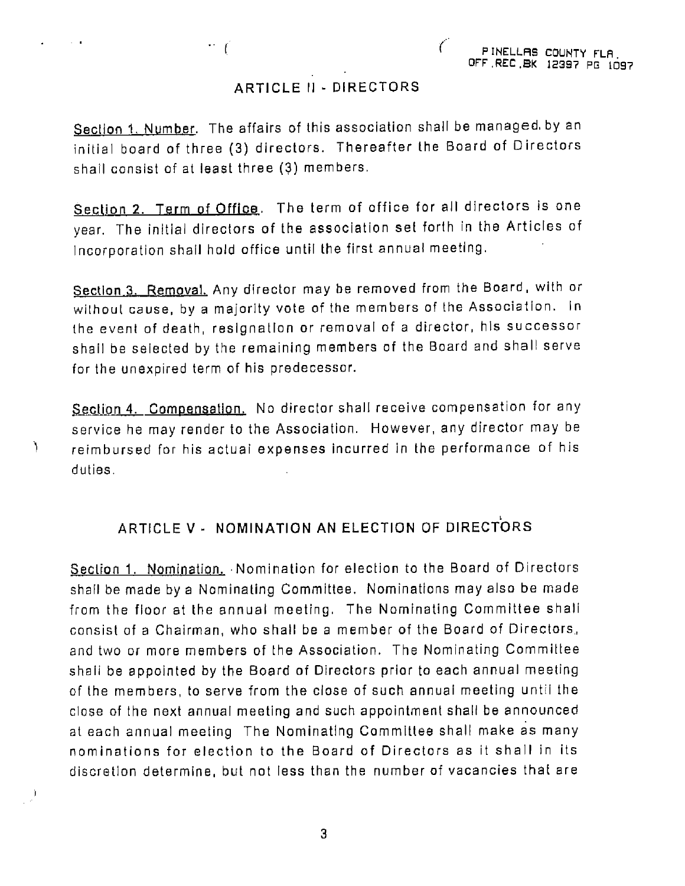# ARTICLE I] - DIRECTORS

 $\sim 10$ 

 $\mathbf{r}$ 

Y

Section 1. Number. The affairs of this association shall be managed by an initial board of three (3) directors. Thereafter the Board of Directors shall consist of at least three (3) members,

Section 2. Term of Office. The term of office for all directors is one year. The initial directors of the association set forth in the Articles of Incorporation shall hold office until the first annual meeting.

Section 3. Removal. Any director may be removed from the Board, with or without cause, by a majority vote of the members of the Association. In the event of death, resignation or removal of a director, his successor shall be selected by the remaining members of the Board and shall serve for the unexpired term of his predecessor.

Section 4. Compensation. No director shall receive compensation for any service he may render to the Association. However, any director may be reimbursed for his actual expenses incurred in the performance of his duties.

# ARTICLE V- NOMINATION AN ELECTION OF DIRECTORS

Section 1. Nomination. Nomination for election to the Board of Directors shall be made by a Nominating Committee. Nominations may also be made from the floor at the annual meeting. The Nominating Committee shall consist af a Chairman, who shall be a member of the Board of Directors, and two or more members of the Association. The Nominating Committee shall be appointed by the Board of Directors priar to each annual meeting of the members, to serve from the close of such annual meeting until the clase of the next annual meeting and such appointment shall be announced at each annual meeting The Nominating Committee shall make as many nominations for election to the Board of Directors as it shall in its discretion determine, but not less than the number of vacancies that are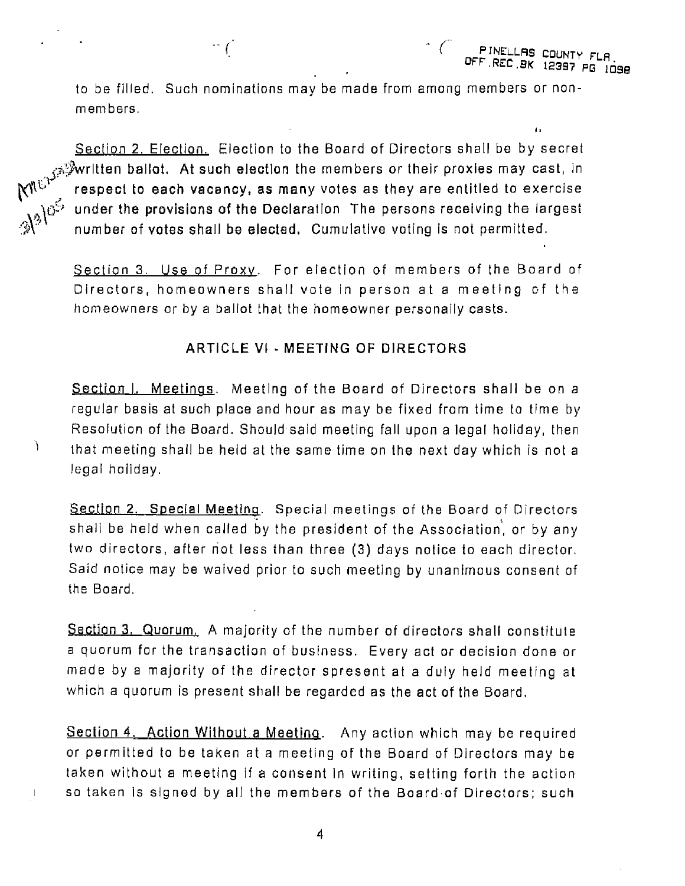ta

to be filled. Such nominations may be made from among members or nonmembers.

Section 2, Election. Election to the Board of Directors shall be by secret  $\epsilon$ s $^{\circledast}$ written ballot. At such election the members or their proxies may cast, in  $\mathsf{M}^{\natural\Box\blacksquare\blacksquare}$  respect to each vacancy, as many votes as they are entitled to exercise under the provisions of the Declaration The persons receiving the largest number of votes shall be elected. Cumulative voting is not permitted.

Section 3. Use of Proxy. For election of members of the Board of Directors, homeowners shall vote in person at a meeting of the homeowners or by a ballot that the homeowner personally casts.

# ARTICLE Vi - MEETING OF DIRECTORS

Section I. Meetings. Meeting of the Board of Directors shall be on a regular basis at such place and hour as may be fixed from time to time by Resolution of the Board. Should said meeting fall upon a legal holiday, then that meeting shall be held at the same time on the next day which is not a legal holiday.

Y

 $\mathbf{J}$ 

Section 2. Special Meeting. Special meetings of the Board of Directors shall be held when called by the president of the Association, or by any two directors, after not less than three (3) days notice to each director, Said natice may be waived prior to such meeting by unanimous consent of the Board.

Section 3, Quorum. A majority of the number of directors shall constitute a quorum for the transaction of business. Every act or decision done or made by a majority of the director spresent at a duly held meeting at which a quorum is present shall be regarded as the act of the Board.

Section 4, Action Without a Meeting. Any action which may be required or permitted to be taken at a meeting of the Board of Directors may be taken without a meeting if a consent in writing, setting forth the action sa taken is signed by all the members of the Board-of Directors; such

 $\boldsymbol{4}$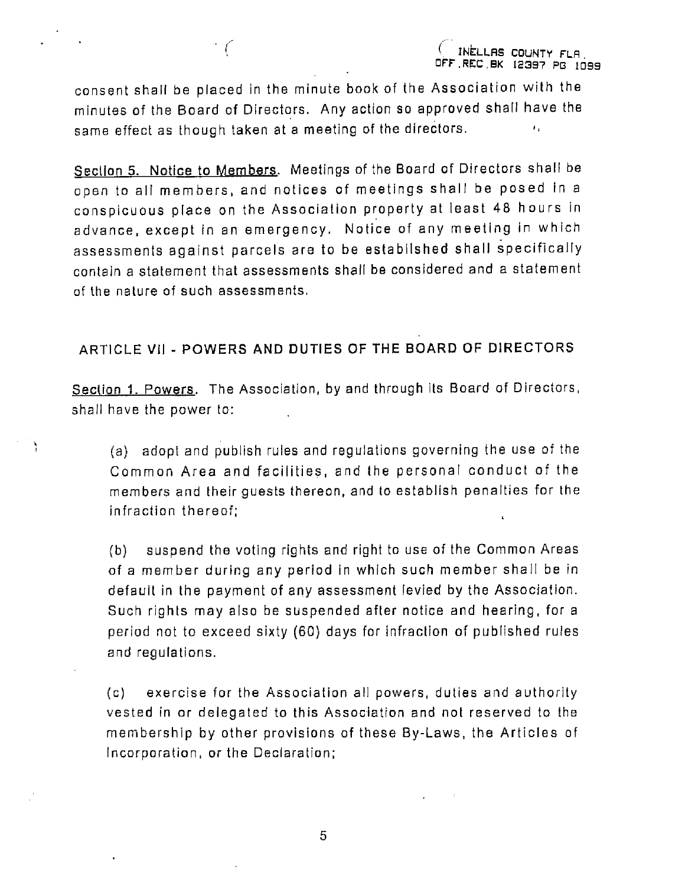consent shall be placed in the minute book of the Association with the minutes of the Board of Directors. Any action so approved shall have the same effect as though taken at a meeting of the directors.  $\mathcal{P}$ 

Section 5. Notice to Members. Meetings of the Board of Directors shall be open to all members, and notices of meetings shall be posed in a conspicuous place on the Association property at least 48 hours in advance, except in an emergency. Notice of any meeting in which assessments against parcels are to be established shall specifically contain a statement that assessments shall be considered and a statement of the nature of such assessments,

# ARTICLE Vil - POWERS AND DUTIES OF THE BOARD OF DIRECTORS

Section 1. Powers. The Association, by and through its Board of Directors, shall have the power ta:

Y

(a) adopt and publish rules and regulations governing the use of the Common Area and facilities, and the personal conduct af the members and their guests thereon, and to establish penalties for the infraction thereof;

(b) suspend the voting rights and right to use of the Common Areas of a member during any period in which such member shall be in defauit in the payment of any assessment levied by the Association. Such rights may also be suspended after notice and hearing, fora period not to exceed sixty (60) days for infraction of published rules and regulations.

(c) exercise for the Association all powers, duties and authorily vested in or delegated to this Association and not reserved to the membership by other provisions of these By-Laws, the Articles of Incorporation, or the Declaration;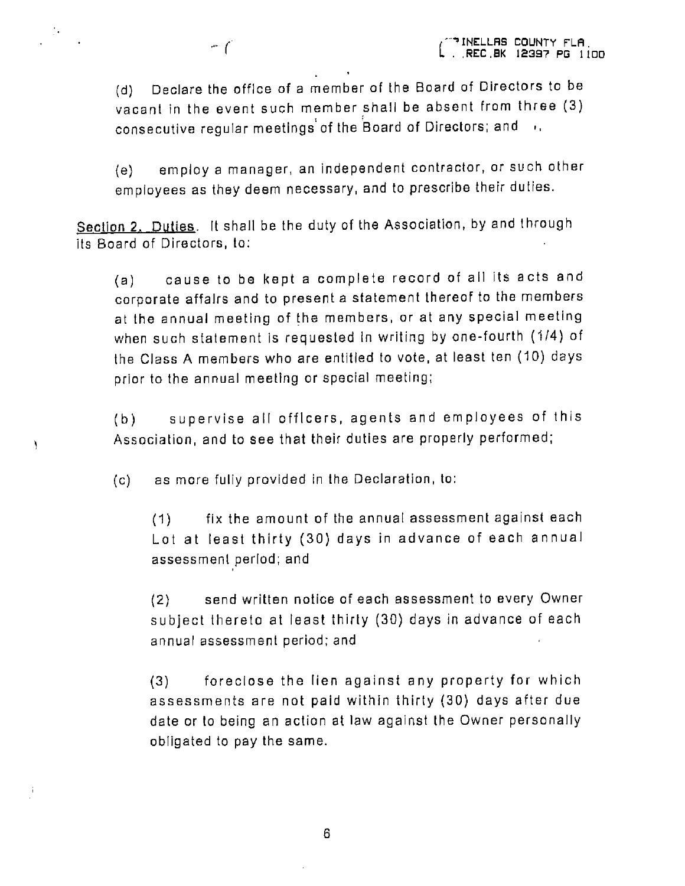(d) Declare the office of a member of the Board of Directors to be vacant in the event such member shall be absent from three (3) consecutive regular meetings of the Board of Directors; and  $\rightarrow$ ,

(e) employ a manager, an independent contractor, or such other employees as they deem necessary, and to prescribe their duties.

Section 2. Duties. It shall be the duty of the Association, by and through its Board af Directors, to:

(a) cause to be kept a complete record of all its acts and corporate affalrs and to present a statement thereof to the members at the annual meeting of the members, or at any special meeting when such statement is requested In writing by one-fourth (4/4) of the Class A members who are entitled to vote, at least ten (10) days prior to the annual meeting or special meeting;

(b) supervise all officers, agents and employees of this Association, and to see that their duties are properly performed;

(c) as more fully provided in the Declaration, to:

Y

(1) fix the amount of the annual assessment against each Lot at least thirty (30) days in advance of each annual assessment period; and

(2) send written notice of each assessment to every Owner subject thereto at least thirty (30) days in advance of each annual assessment period; and

(3) foreciose the lien against any property for which assessments are not paid within thirty (30) days after due date or to being an action at law against the Owner personally obligated to pay the same.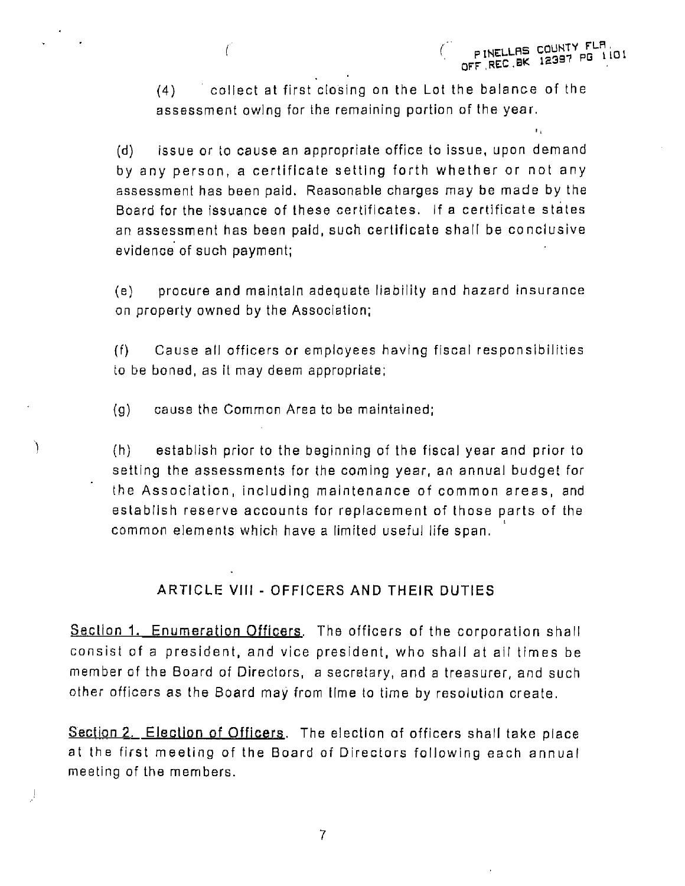(4) collect at first closing on the Lot the balance of the assessment owing for the remaining partion of the year.

(d) issue or to cause an appropriate office to issue, upon demand by any person, a certificate setting forth whether or not any assessment has been paid. Reasonable charges may be made by the Board for the issuance of these certificates. |f a certificate states an assessment has been paid, such certificate shall be conclusive evidence of such payment;

(8) procure and maintain adequate liabtlity and hazard insurance on property owned by the Association;

(f) Cause all officers or employees having fiscal responsibilities to be boned, as it may deem appropriate;

{g) cause the Common Area to be maintained;

Ì.

J

(h) establish prior to the beginning of the fiscal year and prior to setting the assessments for the coming year, an annual budget for the Association, including maintenance of common areas, and establish reserve accounts for replacement of those parts of the common elements which have a limited useful life span.

# ARTICLE VIII - OFFICERS AND THEIR DUTIES

Section 1. Enumeration Officers. The officers of the corporation shall consist of a president, and vice president, who shall at all times be member of the Board of Directors, a secretary, and a treasurer, and such other officers as the Board may from time to time by resolution create.

Section 2. Election of Officers. The election of officers shall take place at the first meeting of the Board af Directors following each annual meeting of the members.

 $\overline{7}$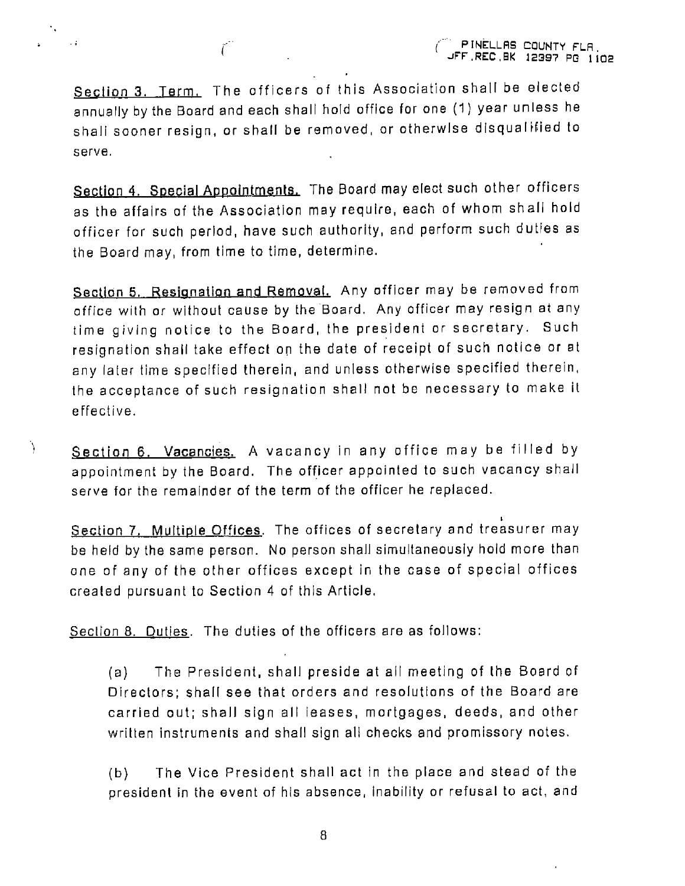Section 3. Term. The officers of this Association shall be elected annually by the Board and each shall hold office for one (1) year unless he shall sooner resign, or shall be removed, or otherwise disqualified to serve.

 $\ddotsc$ 

Ŋ

Section 4. Special Appointments. The Board may elect such other officers as the affairs af the Association may require, each of whom shall hold officer for such period, have such authority, and perform such duties as the Board may, from time ta time, determine.

Section 5. Resignation and Removal. Any officer may be removed from affice with or without cause by the Board. Any officer may resign at any time giving notice to the Board, the president or secretary. Such resignation shall take effect on the date of receipt of such notice or at any later time specified therein, and unless otherwise specified therein, the acceptance of such resignation shal! not be necessary to make it effective.

Section 6. Vacancies. A vacancy in any office may be filled by appointment by the Board. The officer appointed to such vacancy shall serve for the remainder of the term of the officer he replaced.

Section 7. Multiple Offices. The offices of secretary and treasurer may be held by the same person. No person shall simultaneously hold more than ane of any of the other offices except in the case of special offices crealed pursuant to Section 4 of this Article.

Section 8. Duties. The duties of the officers are as follows:

(a) The President, shall preside at all meeting of the Board of Directors; shall see that orders and resolutions of the Board are carried aut; shall sign all leases, mortgages, deeds, and other wrilten instruments and shall sign all checks and promissory notes.

(b) The Vice President shall act in the place and stead of the president in the event of his absence, Inability or refusal to act, and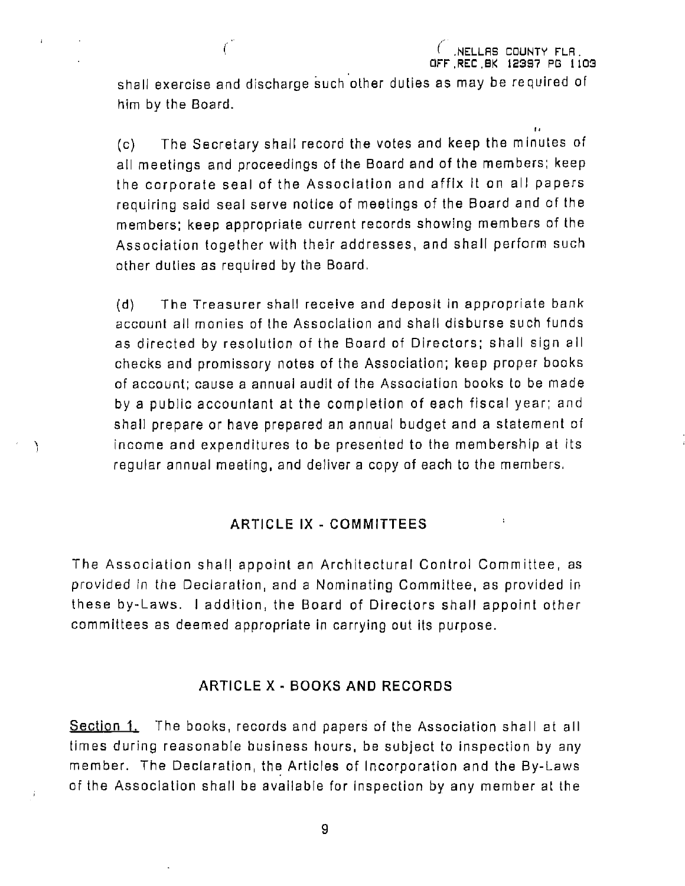$\bar{\mathbf{r}}$  .

shall exercise and discharge such other duties as may be required of him by the Board.

÷

J.

(c) The Secretary shall record the votes and keep the minutes of all meetings and proceedings of the Board and of the members, keep the corporate seal of the Association and affix It on all papers requiring said seal serve notice of meetings of the Board and of the members: keep appropriate current records showing members of the Association together with their addresses, and shall perform such other duties as required by the Board,

(d) The Treasurer shal! receive and depasit in appropriate bank account all monies of the Association and shall disburse such funds as directed by resolution of the Board of Directors; shall sign all checks and promissory notes of the Association; keep proper books of account; cause a annual audit of the Assaciation books to be made by a public accountant at the completion of each fiscal year; and shall prepare or have prepared an annual budget and a statement of income and expenditures to be presented to the membership at its regular annual meeting, and deliver a copy of each to the members.

# ARTICLE IX - COMMITTEES

The Association shall appoint an Architectural Control Committee, as provided in the Declaration, and a Nominating Committee, as provided in these by-Laws. | addition, the Board of Directors shall appotnt other committees as deemed appropriate in carrying out its purpose.

# ARTICLE X - BOOKS AND RECORDS

Section 1. The books, records and papers of the Association shall at all times during reasonable business hours, be subject to inspection by any member. The Declaration, the Articles of Incorporation and the By-Laws of the Association shall be available for inspection by any member at the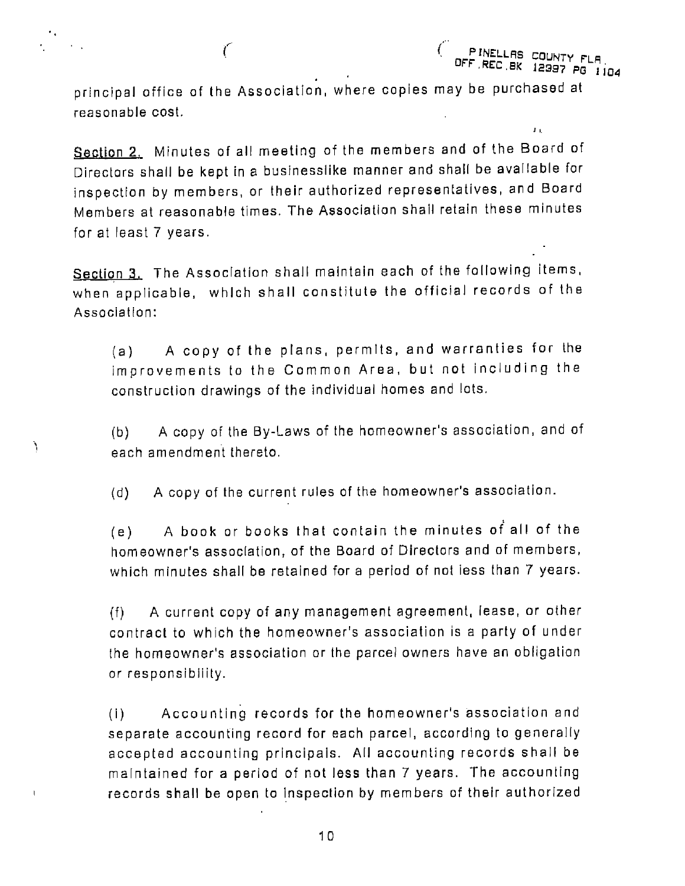principal office of the Association, where copies may be purchased at reasonable cost.

ť

١

 $\mathbf{I}$ 

PINELLAS CO

 $\mathbf{f}(\mathbf{x})$ 

Section 2. Minutes of all meeting of the members and of the Board of Directors shall be kept in a businesslike manner and shall be available for inspection by members, or their authorized representatives, and Board Members at reasonable times. The Association shall retain these minutes for at least 7 years.

Section 3. The Association shall maintain each of the following items, when applicable, which shall constitute the official records of the Association:

(a) A copy of the plans, permits, and warranties for the improvements to the Common Area, but not including the construction drawings of the individual homes and lots.

(b) A copy of the By-Laws of the homeowner's assaciation, and of each amendment thereto.

(d) Accopy of the current rules of the homeowner's association.

(e) A book or books that contain the minutes of all of the homeowner's association, af the Board of Directors and of members, which minutes shall be retained for a period of not less than 7 years.

(f) A current copy of any management agreement, lease, or other contract to which the homeowner's association is a party of under the homeowner's association or the parcel owners have an obligatian or responsibllity.

(i) Accounting records for the homeowner's association and separate accounting record for each parcel, according to generally accepted accounting principals. All accounting records shall be maintained for a period of not less than 7 years. The accounting records shall be open to Inspection by members of their authorized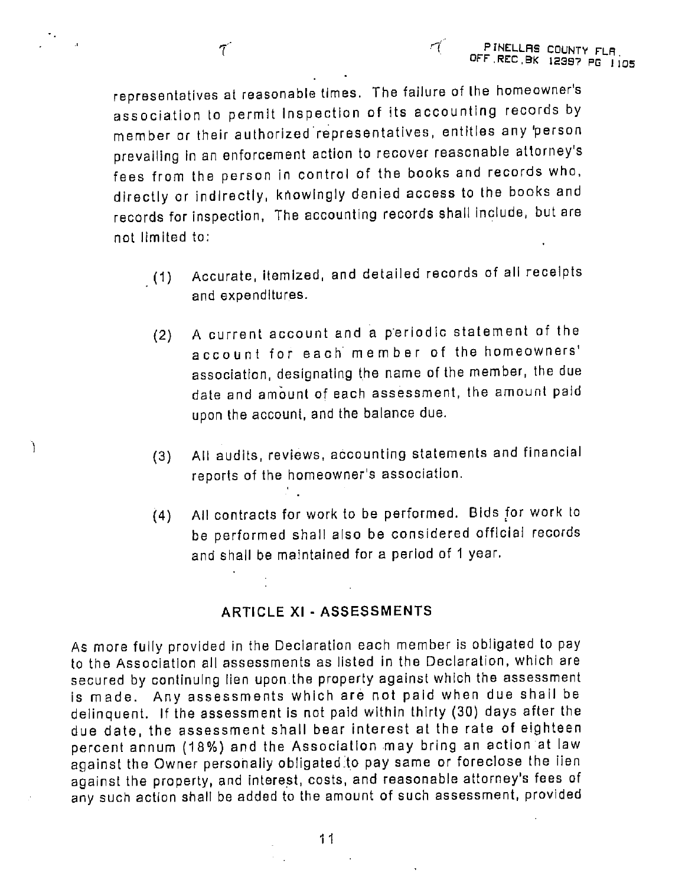Ì

representatives at reasonable times. The failure of the homeowner's association to permit Inspection of its accounting records by member or their authorized representatives, entitles any 'person prevailing in an enforcement action to recover reasonable attorney's fees from the person in control of the books and records who, directly or indirectly, knowingly denied access to the books and records for inspection, The accounting records shall include, but are not limited to:

eo

- (1) Accurate, itemized, and detailed records of all receipts and expenditures.
- (2) A current account and a periodic statement of the account for each member of the homeowners' association, designating the name of the member, the due date and amount of each assessment, the amount paid upon the account, and the balance due.
- (3) All audits, reviews, accounting statements and financial reports of the homeowner's association.
- (4) All contracts for work to be performed. Bids for work to be performed shall also be considered afficiai records and shall be maintained for a period of 1 year.

# ARTICLE XI - ASSESSMENTS

As more fully provided in the Declaration each member is obligated to pay to the Association all assessments as listed in the Declaration, which are secured by continuing lien upon the property against which the assessment is made. Any assessments which are not paid when due shall be delinquent. If the assessment is not paid within thirty (30) days after the due date, the assessment shall bear interest at the rate of eighteen percent annum (18%) and the Association may bring an action at law against the Owner personally obligated to pay same or foreclose the lien against the property, and interest, costs, and reasonable attorney's fees af any such action shall be added to the amount of such assessment, provided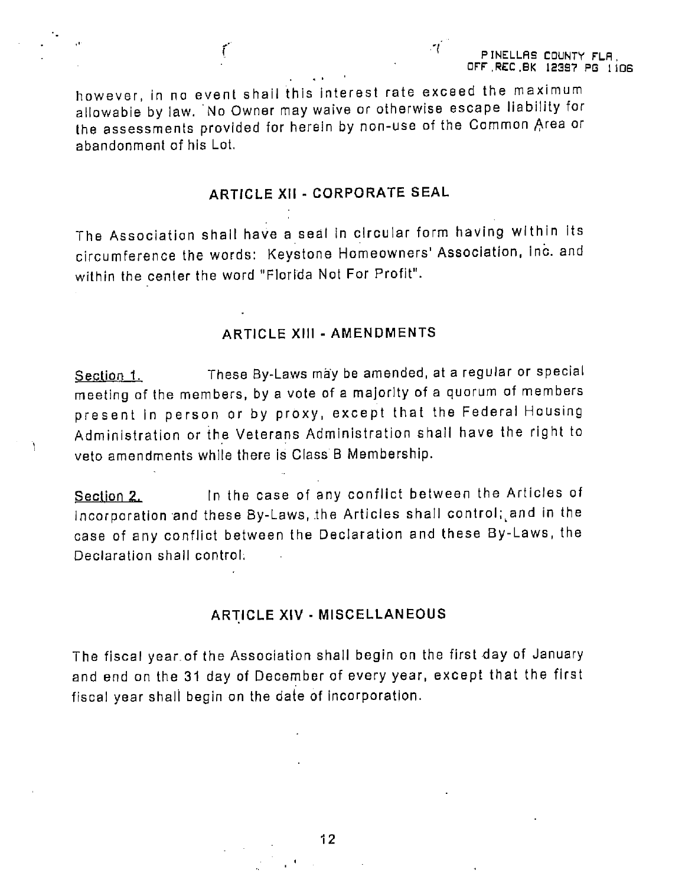however, in na event shall this interest rate exceed the maximum allowable by law. No Owner may waive or otherwise escape liability for the assessments provided for herein by non-use of the Common Area or abandonment of his Lot.

# ARTICLE XII - CORPORATE SEAL

The Association shall have a seal in circular form having within its circumference the words: Keystone Homeowners' Association, Inc. and within the center the word "Florida Not For Profit".

### ARTICLE XHI - AMENDMENTS

Section 1. These By-Laws may be amended, at a regular or special meeting of the members, by a vote of a majority of a quorum of members present in person or by proxy, except that the Federal Hausing Administration or the Veterans Administration shall have the right to veto amendments while there is Class B Membership.

Section 2. In the case of any conflict between the Articles of Incorporation and these By-Laws, the Articles shall control; and in the case of any conflict between the Declaration and these By-Laws, the Declaration shall control:

#### ARTICLE XIV - MISCELLANEOUS

The fiscal year.of the Association shall begin on the first day of January and end on the 31 day of December of every year, except that the first fiscal year shall begin on the date of incorporation.